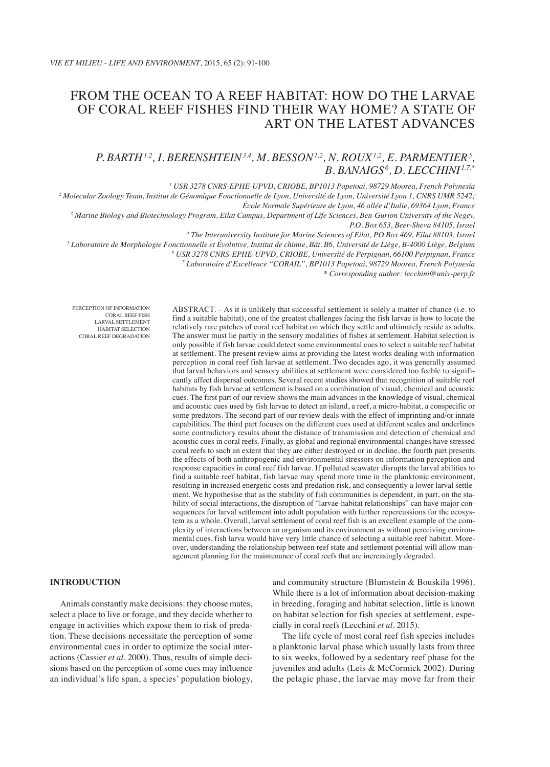# From the ocean to a reef habitat: how do the larvae of coral reef fishes find their way home? A state of art on the latest advances

## *P. Barth1,2, I. Berenshtein3,4, M. Besson1,2, N. Roux1,2, E. Parmentier5 , B. Banaigs6 , D. Lecchini 1.7,\**

*<sup>1</sup> USR 3278 CNRS-EPHE-UPVD, CRIOBE, BP1013 Papetoai, 98729 Moorea, French Polynesia*

*<sup>2</sup> Molecular Zoology Team, Institut de Génomique Fonctionnelle de Lyon, Université de Lyon, Université Lyon 1, CNRS UMR 5242; École Normale Supérieure de Lyon, 46 allée d'Italie, 69364 Lyon, France*

*<sup>3</sup> Marine Biology and Biotechnology Program, Eilat Campus, Department of Life Sciences, Ben-Gurion University of the Negev, P.O. Box 653, Beer-Sheva 84105, Israel*

*<sup>4</sup> The Interuniversity Institute for Marine Sciences of Eilat, PO Box 469, Eilat 88103, Israel*

*<sup>5</sup> Laboratoire de Morphologie Fonctionnelle et Évolutive, Institut de chimie, Bât. B6, Université de Liège, B-4000 Liège, Belgium*

*<sup>6</sup> USR 3278 CNRS-EPHE-UPVD, CRIOBE, Université de Perpignan, 66100 Perpignan, France*

*<sup>7</sup> Laboratoire d'Excellence "CORAIL", BP1013 Papetoai, 98729 Moorea, French Polynesia*

*\* Corresponding author: lecchini@univ-perp.fr*

PERCEPTION OF INFORMATION CORAL REEF FISH LARVAL SETTLEMENT HABITAT SELECTION CORAL REEF DEGRADATION

ABSTRACT. – As it is unlikely that successful settlement is solely a matter of chance (i.e. to find a suitable habitat), one of the greatest challenges facing the fish larvae is how to locate the relatively rare patches of coral reef habitat on which they settle and ultimately reside as adults. The answer must lie partly in the sensory modalities of fishes at settlement. Habitat selection is only possible if fish larvae could detect some environmental cues to select a suitable reef habitat at settlement. The present review aims at providing the latest works dealing with information perception in coral reef fish larvae at settlement. Two decades ago, it was generally assumed that larval behaviors and sensory abilities at settlement were considered too feeble to significantly affect dispersal outcomes. Several recent studies showed that recognition of suitable reef habitats by fish larvae at settlement is based on a combination of visual, chemical and acoustic cues. The first part of our review shows the main advances in the knowledge of visual, chemical and acoustic cues used by fish larvae to detect an island, a reef, a micro-habitat, a conspecific or some predators. The second part of our review deals with the effect of imprinting and/or innate capabilities. The third part focuses on the different cues used at different scales and underlines some contradictory results about the distance of transmission and detection of chemical and acoustic cues in coral reefs. Finally, as global and regional environmental changes have stressed coral reefs to such an extent that they are either destroyed or in decline, the fourth part presents the effects of both anthropogenic and environmental stressors on information perception and response capacities in coral reef fish larvae. If polluted seawater disrupts the larval abilities to find a suitable reef habitat, fish larvae may spend more time in the planktonic environment, resulting in increased energetic costs and predation risk, and consequently a lower larval settlement. We hypothesise that as the stability of fish communities is dependent, in part, on the stability of social interactions, the disruption of "larvae-habitat relationships" can have major consequences for larval settlement into adult population with further repercussions for the ecosystem as a whole. Overall, larval settlement of coral reef fish is an excellent example of the complexity of interactions between an organism and its environment as without perceiving environmental cues, fish larva would have very little chance of selecting a suitable reef habitat. Moreover, understanding the relationship between reef state and settlement potential will allow management planning for the maintenance of coral reefs that are increasingly degraded.

## **INTRODUCTION**

Animals constantly make decisions: they choose mates, select a place to live or forage, and they decide whether to engage in activities which expose them to risk of predation. These decisions necessitate the perception of some environmental cues in order to optimize the social interactions (Cassier *et al.* 2000). Thus, results of simple decisions based on the perception of some cues may influence an individual's life span, a species' population biology, and community structure (Blumstein & Bouskila 1996). While there is a lot of information about decision-making in breeding, foraging and habitat selection, little is known on habitat selection for fish species at settlement, especially in coral reefs (Lecchini *et al.* 2015).

The life cycle of most coral reef fish species includes a planktonic larval phase which usually lasts from three to six weeks, followed by a sedentary reef phase for the juveniles and adults (Leis & McCormick 2002). During the pelagic phase, the larvae may move far from their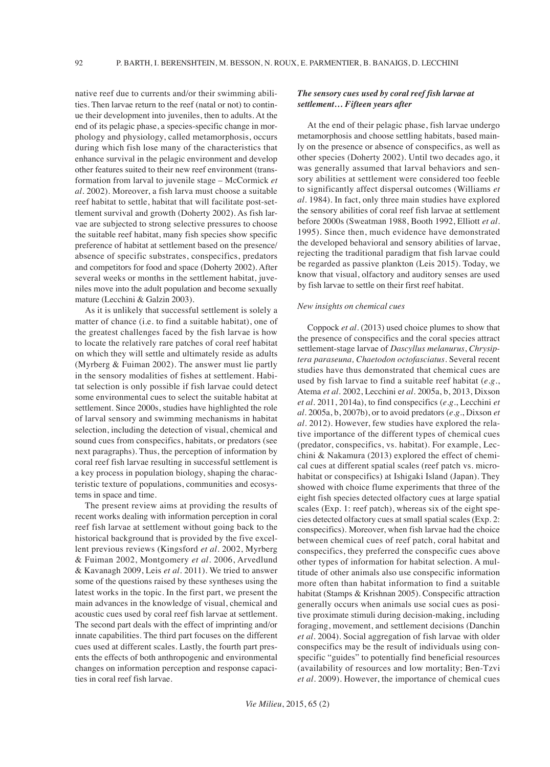native reef due to currents and/or their swimming abilities. Then larvae return to the reef (natal or not) to continue their development into juveniles, then to adults. At the end of its pelagic phase, a species-specific change in morphology and physiology, called metamorphosis, occurs during which fish lose many of the characteristics that enhance survival in the pelagic environment and develop other features suited to their new reef environment (transformation from larval to juvenile stage – McCormick *et al.* 2002). Moreover, a fish larva must choose a suitable reef habitat to settle, habitat that will facilitate post-settlement survival and growth (Doherty 2002). As fish larvae are subjected to strong selective pressures to choose the suitable reef habitat, many fish species show specific preference of habitat at settlement based on the presence/ absence of specific substrates, conspecifics, predators and competitors for food and space (Doherty 2002). After several weeks or months in the settlement habitat, juveniles move into the adult population and become sexually mature (Lecchini & Galzin 2003).

As it is unlikely that successful settlement is solely a matter of chance (i.e. to find a suitable habitat), one of the greatest challenges faced by the fish larvae is how to locate the relatively rare patches of coral reef habitat on which they will settle and ultimately reside as adults (Myrberg & Fuiman 2002). The answer must lie partly in the sensory modalities of fishes at settlement. Habitat selection is only possible if fish larvae could detect some environmental cues to select the suitable habitat at settlement. Since 2000s, studies have highlighted the role of larval sensory and swimming mechanisms in habitat selection, including the detection of visual, chemical and sound cues from conspecifics, habitats, or predators (see next paragraphs). Thus, the perception of information by coral reef fish larvae resulting in successful settlement is a key process in population biology, shaping the characteristic texture of populations, communities and ecosystems in space and time.

The present review aims at providing the results of recent works dealing with information perception in coral reef fish larvae at settlement without going back to the historical background that is provided by the five excellent previous reviews (Kingsford *et al.* 2002, Myrberg & Fuiman 2002, Montgomery *et al*. 2006, Arvedlund & Kavanagh 2009, Leis *et al.* 2011). We tried to answer some of the questions raised by these syntheses using the latest works in the topic. In the first part, we present the main advances in the knowledge of visual, chemical and acoustic cues used by coral reef fish larvae at settlement. The second part deals with the effect of imprinting and/or innate capabilities. The third part focuses on the different cues used at different scales. Lastly, the fourth part presents the effects of both anthropogenic and environmental changes on information perception and response capacities in coral reef fish larvae.

## *The sensory cues used by coral reef fish larvae at settlement… Fifteen years after*

At the end of their pelagic phase, fish larvae undergo metamorphosis and choose settling habitats, based mainly on the presence or absence of conspecifics, as well as other species (Doherty 2002). Until two decades ago, it was generally assumed that larval behaviors and sensory abilities at settlement were considered too feeble to significantly affect dispersal outcomes (Williams *et al.* 1984). In fact, only three main studies have explored the sensory abilities of coral reef fish larvae at settlement before 2000s (Sweatman 1988, Booth 1992, Elliott *et al.* 1995). Since then, much evidence have demonstrated the developed behavioral and sensory abilities of larvae, rejecting the traditional paradigm that fish larvae could be regarded as passive plankton (Leis 2015). Today, we know that visual, olfactory and auditory senses are used by fish larvae to settle on their first reef habitat.

#### *New insights on chemical cues*

Coppock *et al.* (2013) used choice plumes to show that the presence of conspecifics and the coral species attract settlement-stage larvae of *Dascyllus melanurus*, *Chrysiptera paraseuna, Chaetodon octofasciatus*. Several recent studies have thus demonstrated that chemical cues are used by fish larvae to find a suitable reef habitat (*e.g.*, Atema *et al*. 2002, Lecchini e*t al*. 2005a, b, 2013, Dixson *et al.* 2011, 2014a), to find conspecifics (*e.g.*, Lecchini *et al*. 2005a, b, 2007b), or to avoid predators (*e.g.*, Dixson *et al*. 2012). However, few studies have explored the relative importance of the different types of chemical cues (predator, conspecifics, vs. habitat). For example, Lecchini & Nakamura (2013) explored the effect of chemical cues at different spatial scales (reef patch vs. microhabitat or conspecifics) at Ishigaki Island (Japan). They showed with choice flume experiments that three of the eight fish species detected olfactory cues at large spatial scales (Exp. 1: reef patch), whereas six of the eight species detected olfactory cues at small spatial scales (Exp. 2: conspecifics). Moreover, when fish larvae had the choice between chemical cues of reef patch, coral habitat and conspecifics, they preferred the conspecific cues above other types of information for habitat selection. A multitude of other animals also use conspecific information more often than habitat information to find a suitable habitat (Stamps & Krishnan 2005). Conspecific attraction generally occurs when animals use social cues as positive proximate stimuli during decision-making, including foraging, movement, and settlement decisions (Danchin *et al.* 2004). Social aggregation of fish larvae with older conspecifics may be the result of individuals using conspecific "guides" to potentially find beneficial resources (availability of resources and low mortality; Ben-Tzvi *et al.* 2009). However, the importance of chemical cues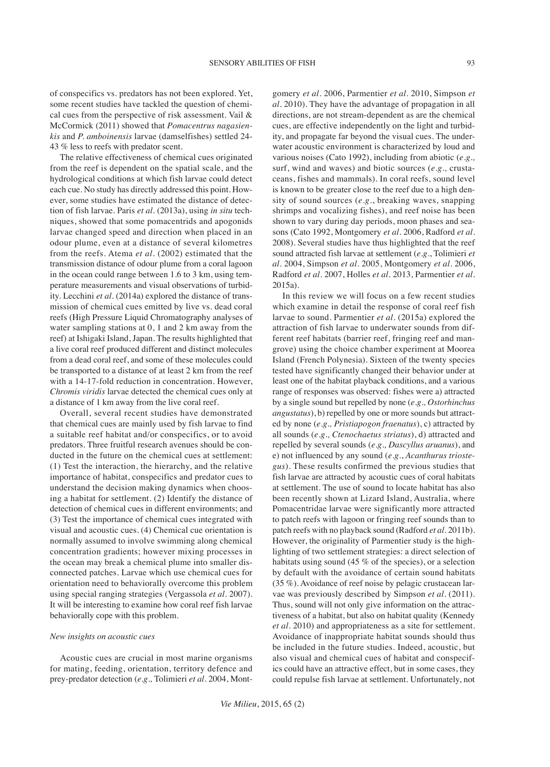of conspecifics vs. predators has not been explored. Yet, some recent studies have tackled the question of chemical cues from the perspective of risk assessment. Vail & McCormick (2011) showed that *Pomacentrus nagasienkis* and *P. amboinensis* larvae (damselfishes) settled 24- 43 % less to reefs with predator scent.

The relative effectiveness of chemical cues originated from the reef is dependent on the spatial scale, and the hydrological conditions at which fish larvae could detect each cue. No study has directly addressed this point. However, some studies have estimated the distance of detection of fish larvae. Paris *et al*. (2013a), using *in situ* techniques, showed that some pomacentrids and apogonids larvae changed speed and direction when placed in an odour plume, even at a distance of several kilometres from the reefs. Atema *et al.* (2002) estimated that the transmission distance of odour plume from a coral lagoon in the ocean could range between 1.6 to 3 km, using temperature measurements and visual observations of turbidity. Lecchini *et al.* (2014a) explored the distance of transmission of chemical cues emitted by live vs. dead coral reefs (High Pressure Liquid Chromatography analyses of water sampling stations at 0, 1 and 2 km away from the reef) at Ishigaki Island, Japan. The results highlighted that a live coral reef produced different and distinct molecules from a dead coral reef, and some of these molecules could be transported to a distance of at least 2 km from the reef with a 14-17-fold reduction in concentration. However, *Chromis viridis* larvae detected the chemical cues only at a distance of 1 km away from the live coral reef.

Overall, several recent studies have demonstrated that chemical cues are mainly used by fish larvae to find a suitable reef habitat and/or conspecifics, or to avoid predators. Three fruitful research avenues should be conducted in the future on the chemical cues at settlement: (1) Test the interaction, the hierarchy, and the relative importance of habitat, conspecifics and predator cues to understand the decision making dynamics when choosing a habitat for settlement. (2) Identify the distance of detection of chemical cues in different environments; and (3) Test the importance of chemical cues integrated with visual and acoustic cues. (4) Chemical cue orientation is normally assumed to involve swimming along chemical concentration gradients; however mixing processes in the ocean may break a chemical plume into smaller disconnected patches. Larvae which use chemical cues for orientation need to behaviorally overcome this problem using special ranging strategies (Vergassola *et al*. 2007). It will be interesting to examine how coral reef fish larvae behaviorally cope with this problem.

#### *New insights on acoustic cues*

Acoustic cues are crucial in most marine organisms for mating, feeding, orientation, territory defence and prey-predator detection (*e.g.,* Tolimieri *et al*. 2004, Mont-

gomery *et al*. 2006, Parmentier *et al*. 2010, Simpson *et al.* 2010). They have the advantage of propagation in all directions, are not stream-dependent as are the chemical cues, are effective independently on the light and turbidity, and propagate far beyond the visual cues. The underwater acoustic environment is characterized by loud and various noises (Cato 1992), including from abiotic (*e.g.,*  surf, wind and waves) and biotic sources (*e.g.,* crustaceans, fishes and mammals). In coral reefs, sound level is known to be greater close to the reef due to a high density of sound sources (*e.g*., breaking waves, snapping shrimps and vocalizing fishes), and reef noise has been shown to vary during day periods, moon phases and seasons (Cato 1992, Montgomery *et al.* 2006, Radford *et al.* 2008). Several studies have thus highlighted that the reef sound attracted fish larvae at settlement (*e.g*., Tolimieri *et al*. 2004, Simpson *et al*. 2005, Montgomery *et al*. 2006, Radford *et al*. 2007, Holles *et al*. 2013, Parmentier *et al.* 2015a).

In this review we will focus on a few recent studies which examine in detail the response of coral reef fish larvae to sound. Parmentier *et al*. (2015a) explored the attraction of fish larvae to underwater sounds from different reef habitats (barrier reef, fringing reef and mangrove) using the choice chamber experiment at Moorea Island (French Polynesia). Sixteen of the twenty species tested have significantly changed their behavior under at least one of the habitat playback conditions, and a various range of responses was observed: fishes were a) attracted by a single sound but repelled by none (*e.g., Ostorhinchus angustatus*), b) repelled by one or more sounds but attracted by none (*e.g., Pristiapogon fraenatus*), c) attracted by all sounds (*e.g., Ctenochaetus striatus*), d) attracted and repelled by several sounds (*e.g., Dascyllus aruanus*), and e) not influenced by any sound (*e.g.*, *Acanthurus triostegus*). These results confirmed the previous studies that fish larvae are attracted by acoustic cues of coral habitats at settlement. The use of sound to locate habitat has also been recently shown at Lizard Island, Australia, where Pomacentridae larvae were significantly more attracted to patch reefs with lagoon or fringing reef sounds than to patch reefs with no playback sound (Radford *et al.* 2011b). However, the originality of Parmentier study is the highlighting of two settlement strategies: a direct selection of habitats using sound (45 % of the species), or a selection by default with the avoidance of certain sound habitats (35 %). Avoidance of reef noise by pelagic crustacean larvae was previously described by Simpson *et al*. (2011). Thus, sound will not only give information on the attractiveness of a habitat, but also on habitat quality (Kennedy *et al.* 2010) and appropriateness as a site for settlement. Avoidance of inappropriate habitat sounds should thus be included in the future studies. Indeed, acoustic, but also visual and chemical cues of habitat and conspecifics could have an attractive effect, but in some cases, they could repulse fish larvae at settlement. Unfortunately, not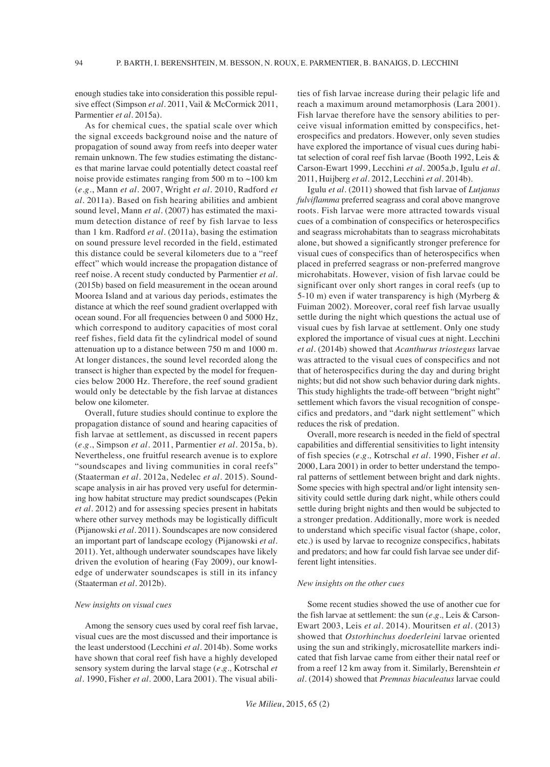enough studies take into consideration this possible repulsive effect (Simpson et al. 2011, Vail & McCormick 2011, Parmentier *et al*. 2015a).

As for chemical cues, the spatial scale over which the signal exceeds background noise and the nature of propagation of sound away from reefs into deeper water remain unknown. The few studies estimating the distances that marine larvae could potentially detect coastal reef noise provide estimates ranging from 500 m to  $\sim$ 100 km (*e.g.*, Mann *et al.* 2007, Wright *et al.* 2010, Radford *et al.* 2011a). Based on fish hearing abilities and ambient sound level, Mann *et al.* (2007) has estimated the maximum detection distance of reef by fish larvae to less than 1 km. Radford *et al.* (2011a), basing the estimation on sound pressure level recorded in the field, estimated this distance could be several kilometers due to a "reef effect" which would increase the propagation distance of reef noise. A recent study conducted by Parmentier *et al.* (2015b) based on field measurement in the ocean around Moorea Island and at various day periods, estimates the distance at which the reef sound gradient overlapped with ocean sound. For all frequencies between 0 and 5000 Hz, which correspond to auditory capacities of most coral reef fishes, field data fit the cylindrical model of sound attenuation up to a distance between 750 m and 1000 m. At longer distances, the sound level recorded along the transect is higher than expected by the model for frequencies below 2000 Hz. Therefore, the reef sound gradient would only be detectable by the fish larvae at distances below one kilometer.

Overall, future studies should continue to explore the propagation distance of sound and hearing capacities of fish larvae at settlement, as discussed in recent papers (*e.g.*, Simpson *et al.* 2011, Parmentier *et al*. 2015a, b). Nevertheless, one fruitful research avenue is to explore "soundscapes and living communities in coral reefs" (Staaterman *et al.* 2012a, Nedelec *et al.* 2015). Soundscape analysis in air has proved very useful for determining how habitat structure may predict soundscapes (Pekin *et al.* 2012) and for assessing species present in habitats where other survey methods may be logistically difficult (Pijanowski *et al*. 2011). Soundscapes are now considered an important part of landscape ecology (Pijanowski *et al.* 2011). Yet, although underwater soundscapes have likely driven the evolution of hearing (Fay 2009), our knowledge of underwater soundscapes is still in its infancy (Staaterman *et al.* 2012b).

#### *New insights on visual cues*

Among the sensory cues used by coral reef fish larvae, visual cues are the most discussed and their importance is the least understood (Lecchini *et al*. 2014b). Some works have shown that coral reef fish have a highly developed sensory system during the larval stage (*e.g.,* Kotrschal *et al.* 1990, Fisher *et al*. 2000, Lara 2001). The visual abilities of fish larvae increase during their pelagic life and reach a maximum around metamorphosis (Lara 2001). Fish larvae therefore have the sensory abilities to perceive visual information emitted by conspecifics, heterospecifics and predators. However, only seven studies have explored the importance of visual cues during habitat selection of coral reef fish larvae (Booth 1992, Leis & Carson-Ewart 1999, Lecchini *et al.* 2005a,b, Igulu *et al.* 2011, Huijberg *et al.* 2012, Lecchini *et al.* 2014b).

Igulu *et al*. (2011) showed that fish larvae of *Lutjanus fulviflamma* preferred seagrass and coral above mangrove roots. Fish larvae were more attracted towards visual cues of a combination of conspecifics or heterospecifics and seagrass microhabitats than to seagrass microhabitats alone, but showed a significantly stronger preference for visual cues of conspecifics than of heterospecifics when placed in preferred seagrass or non-preferred mangrove microhabitats. However, vision of fish larvae could be significant over only short ranges in coral reefs (up to 5-10 m) even if water transparency is high (Myrberg & Fuiman 2002). Moreover, coral reef fish larvae usually settle during the night which questions the actual use of visual cues by fish larvae at settlement. Only one study explored the importance of visual cues at night. Lecchini *et al.* (2014b) showed that *Acanthurus triostegus* larvae was attracted to the visual cues of conspecifics and not that of heterospecifics during the day and during bright nights; but did not show such behavior during dark nights. This study highlights the trade-off between "bright night" settlement which favors the visual recognition of conspecifics and predators, and "dark night settlement" which reduces the risk of predation.

Overall, more research is needed in the field of spectral capabilities and differential sensitivities to light intensity of fish species (*e.g.,* Kotrschal *et al*. 1990, Fisher *et al*. 2000, Lara 2001) in order to better understand the temporal patterns of settlement between bright and dark nights. Some species with high spectral and/or light intensity sensitivity could settle during dark night, while others could settle during bright nights and then would be subjected to a stronger predation. Additionally, more work is needed to understand which specific visual factor (shape, color, etc.) is used by larvae to recognize conspecifics, habitats and predators; and how far could fish larvae see under different light intensities.

#### *New insights on the other cues*

Some recent studies showed the use of another cue for the fish larvae at settlement: the sun (*e.g.,* Leis & Carson-Ewart 2003, Leis *et al*. 2014). Mouritsen *et al*. (2013) showed that *Ostorhinchus doederleini* larvae oriented using the sun and strikingly, microsatellite markers indicated that fish larvae came from either their natal reef or from a reef 12 km away from it. Similarly, Berenshtein *et al*. (2014) showed that *Premnas biaculeatus* larvae could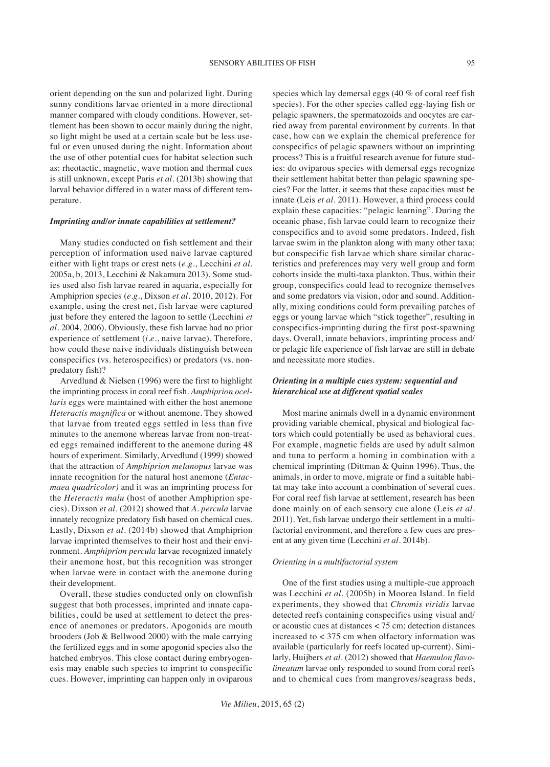orient depending on the sun and polarized light. During sunny conditions larvae oriented in a more directional manner compared with cloudy conditions. However, settlement has been shown to occur mainly during the night, so light might be used at a certain scale but be less useful or even unused during the night. Information about the use of other potential cues for habitat selection such as: rheotactic, magnetic, wave motion and thermal cues is still unknown, except Paris *et al*. (2013b) showing that larval behavior differed in a water mass of different temperature.

#### *Imprinting and/or innate capabilities at settlement?*

Many studies conducted on fish settlement and their perception of information used naive larvae captured either with light traps or crest nets (*e.g.*, Lecchini *et al.* 2005a, b, 2013, Lecchini & Nakamura 2013). Some studies used also fish larvae reared in aquaria, especially for Amphiprion species (*e.g.*, Dixson *et al.* 2010, 2012). For example, using the crest net, fish larvae were captured just before they entered the lagoon to settle (Lecchini *et al*. 2004, 2006). Obviously, these fish larvae had no prior experience of settlement (*i.e.*, naive larvae). Therefore, how could these naive individuals distinguish between conspecifics (vs. heterospecifics) or predators (vs. nonpredatory fish)?

Arvedlund & Nielsen (1996) were the first to highlight the imprinting process in coral reef fish. *Amphiprion ocellaris* eggs were maintained with either the host anemone *Heteractis magnifica* or without anemone. They showed that larvae from treated eggs settled in less than five minutes to the anemone whereas larvae from non-treated eggs remained indifferent to the anemone during 48 hours of experiment. Similarly, Arvedlund (1999) showed that the attraction of *Amphiprion melanopus* larvae was innate recognition for the natural host anemone (*Entacmaea quadricolor)* and it was an imprinting process for the *Heteractis malu* (host of another Amphiprion species). Dixson *et al*. (2012) showed that *A. percula* larvae innately recognize predatory fish based on chemical cues. Lastly, Dixson *et al.* (2014b) showed that Amphiprion larvae imprinted themselves to their host and their environment. *Amphiprion percula* larvae recognized innately their anemone host, but this recognition was stronger when larvae were in contact with the anemone during their development.

Overall, these studies conducted only on clownfish suggest that both processes, imprinted and innate capabilities, could be used at settlement to detect the presence of anemones or predators. Apogonids are mouth brooders (Job & Bellwood 2000) with the male carrying the fertilized eggs and in some apogonid species also the hatched embryos. This close contact during embryogenesis may enable such species to imprint to conspecific cues. However, imprinting can happen only in oviparous

species which lay demersal eggs (40 % of coral reef fish species). For the other species called egg-laying fish or pelagic spawners, the spermatozoids and oocytes are carried away from parental environment by currents. In that case, how can we explain the chemical preference for conspecifics of pelagic spawners without an imprinting process? This is a fruitful research avenue for future studies: do oviparous species with demersal eggs recognize their settlement habitat better than pelagic spawning species? For the latter, it seems that these capacities must be innate (Leis *et al.* 2011). However, a third process could explain these capacities: "pelagic learning". During the oceanic phase, fish larvae could learn to recognize their conspecifics and to avoid some predators. Indeed, fish larvae swim in the plankton along with many other taxa; but conspecific fish larvae which share similar characteristics and preferences may very well group and form cohorts inside the multi-taxa plankton. Thus, within their group, conspecifics could lead to recognize themselves and some predators via vision, odor and sound. Additionally, mixing conditions could form prevailing patches of eggs or young larvae which "stick together", resulting in conspecifics-imprinting during the first post-spawning days. Overall, innate behaviors, imprinting process and/ or pelagic life experience of fish larvae are still in debate and necessitate more studies.

## *Orienting in a multiple cues system: sequential and hierarchical use at different spatial scales*

Most marine animals dwell in a dynamic environment providing variable chemical, physical and biological factors which could potentially be used as behavioral cues. For example, magnetic fields are used by adult salmon and tuna to perform a homing in combination with a chemical imprinting (Dittman & Quinn 1996). Thus, the animals, in order to move, migrate or find a suitable habitat may take into account a combination of several cues. For coral reef fish larvae at settlement, research has been done mainly on of each sensory cue alone (Leis *et al.* 2011). Yet, fish larvae undergo their settlement in a multifactorial environment, and therefore a few cues are present at any given time (Lecchini *et al*. 2014b).

#### *Orienting in a multifactorial system*

One of the first studies using a multiple-cue approach was Lecchini *et al*. (2005b) in Moorea Island. In field experiments, they showed that *Chromis viridis* larvae detected reefs containing conspecifics using visual and/ or acoustic cues at distances < 75 cm; detection distances increased to < 375 cm when olfactory information was available (particularly for reefs located up-current). Similarly, Huijbers *et al*. (2012) showed that *Haemulon flavolineatum* larvae only responded to sound from coral reefs and to chemical cues from mangroves/seagrass beds,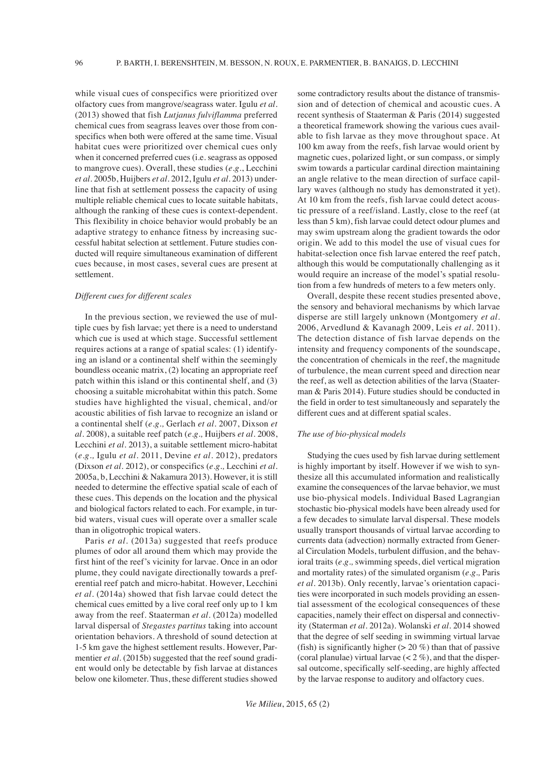while visual cues of conspecifics were prioritized over olfactory cues from mangrove/seagrass water. Igulu *et al.* (2013) showed that fish *Lutjanus fulviflamma* preferred chemical cues from seagrass leaves over those from conspecifics when both were offered at the same time. Visual habitat cues were prioritized over chemical cues only when it concerned preferred cues (i.e. seagrass as opposed to mangrove cues). Overall, these studies (*e.g.*, Lecchini *et al.* 2005b, Huijbers *et al.* 2012, Igulu *et al*. 2013) underline that fish at settlement possess the capacity of using multiple reliable chemical cues to locate suitable habitats, although the ranking of these cues is context-dependent. This flexibility in choice behavior would probably be an adaptive strategy to enhance fitness by increasing successful habitat selection at settlement. Future studies conducted will require simultaneous examination of different cues because, in most cases, several cues are present at settlement.

#### *Different cues for different scales*

In the previous section, we reviewed the use of multiple cues by fish larvae; yet there is a need to understand which cue is used at which stage. Successful settlement requires actions at a range of spatial scales: (1) identifying an island or a continental shelf within the seemingly boundless oceanic matrix, (2) locating an appropriate reef patch within this island or this continental shelf, and (3) choosing a suitable microhabitat within this patch. Some studies have highlighted the visual, chemical, and/or acoustic abilities of fish larvae to recognize an island or a continental shelf (*e.g.,* Gerlach *et al*. 2007, Dixson *et al*. 2008), a suitable reef patch (*e.g.,* Huijbers *et al*. 2008, Lecchini *et al.* 2013), a suitable settlement micro-habitat (*e.g.,* Igulu *et al.* 2011, Devine *et al*. 2012), predators (Dixson *et al*. 2012), or conspecifics (*e.g.,* Lecchini *et al*. 2005a, b, Lecchini & Nakamura 2013). However, it is still needed to determine the effective spatial scale of each of these cues. This depends on the location and the physical and biological factors related to each. For example, in turbid waters, visual cues will operate over a smaller scale than in oligotrophic tropical waters.

Paris *et al*. (2013a) suggested that reefs produce plumes of odor all around them which may provide the first hint of the reef's vicinity for larvae. Once in an odor plume, they could navigate directionally towards a preferential reef patch and micro-habitat. However, Lecchini *et al*. (2014a) showed that fish larvae could detect the chemical cues emitted by a live coral reef only up to 1 km away from the reef. Staaterman *et al*. (2012a) modelled larval dispersal of *Stegastes partitus* taking into account orientation behaviors. A threshold of sound detection at 1-5 km gave the highest settlement results. However, Parmentier et al. (2015b) suggested that the reef sound gradient would only be detectable by fish larvae at distances below one kilometer. Thus, these different studies showed some contradictory results about the distance of transmission and of detection of chemical and acoustic cues. A recent synthesis of Staaterman & Paris (2014) suggested a theoretical framework showing the various cues available to fish larvae as they move throughout space. At 100 km away from the reefs, fish larvae would orient by magnetic cues, polarized light, or sun compass, or simply swim towards a particular cardinal direction maintaining an angle relative to the mean direction of surface capillary waves (although no study has demonstrated it yet). At 10 km from the reefs, fish larvae could detect acoustic pressure of a reef/island. Lastly, close to the reef (at less than 5 km), fish larvae could detect odour plumes and may swim upstream along the gradient towards the odor origin. We add to this model the use of visual cues for habitat-selection once fish larvae entered the reef patch, although this would be computationally challenging as it would require an increase of the model's spatial resolution from a few hundreds of meters to a few meters only.

Overall, despite these recent studies presented above, the sensory and behavioral mechanisms by which larvae disperse are still largely unknown (Montgomery *et al*. 2006, Arvedlund & Kavanagh 2009, Leis *et al*. 2011). The detection distance of fish larvae depends on the intensity and frequency components of the soundscape, the concentration of chemicals in the reef, the magnitude of turbulence, the mean current speed and direction near the reef, as well as detection abilities of the larva (Staaterman & Paris 2014). Future studies should be conducted in the field in order to test simultaneously and separately the different cues and at different spatial scales.

#### *The use of bio-physical models*

Studying the cues used by fish larvae during settlement is highly important by itself. However if we wish to synthesize all this accumulated information and realistically examine the consequences of the larvae behavior, we must use bio-physical models. Individual Based Lagrangian stochastic bio-physical models have been already used for a few decades to simulate larval dispersal. These models usually transport thousands of virtual larvae according to currents data (advection) normally extracted from General Circulation Models, turbulent diffusion, and the behavioral traits (*e.g.,* swimming speeds, diel vertical migration and mortality rates) of the simulated organism (*e.g.,* Paris *et al.* 2013b). Only recently, larvae's orientation capacities were incorporated in such models providing an essential assessment of the ecological consequences of these capacities, namely their effect on dispersal and connectivity (Staterman *et al.* 2012a). Wolanski *et al.* 2014 showed that the degree of self seeding in swimming virtual larvae (fish) is significantly higher  $(> 20 \%)$  than that of passive (coral planulae) virtual larvae  $(< 2\%$ ), and that the dispersal outcome, specifically self-seeding, are highly affected by the larvae response to auditory and olfactory cues.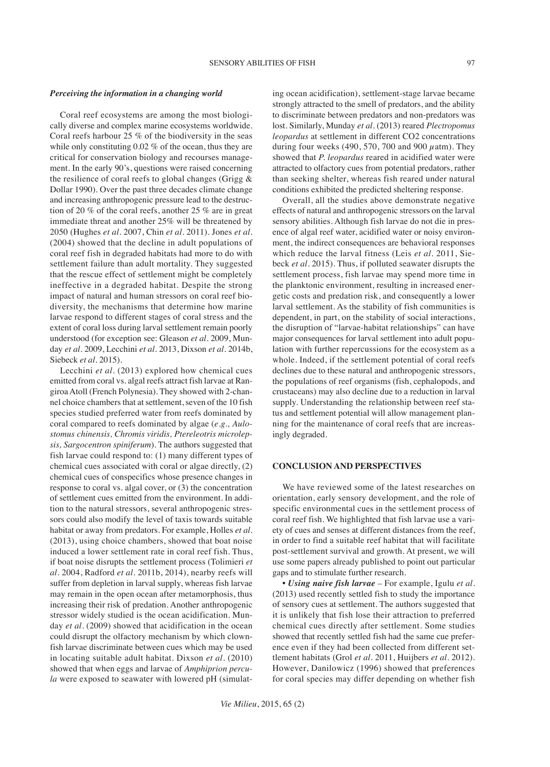### *Perceiving the information in a changing world*

Coral reef ecosystems are among the most biologically diverse and complex marine ecosystems worldwide. Coral reefs harbour 25 % of the biodiversity in the seas while only constituting 0.02 % of the ocean, thus they are critical for conservation biology and recourses management. In the early 90's, questions were raised concerning the resilience of coral reefs to global changes (Grigg & Dollar 1990). Over the past three decades climate change and increasing anthropogenic pressure lead to the destruction of 20 % of the coral reefs, another 25 % are in great immediate threat and another 25% will be threatened by 2050 (Hughes *et al.* 2007, Chin *et al.* 2011). Jones *et al.* (2004) showed that the decline in adult populations of coral reef fish in degraded habitats had more to do with settlement failure than adult mortality. They suggested that the rescue effect of settlement might be completely ineffective in a degraded habitat. Despite the strong impact of natural and human stressors on coral reef biodiversity, the mechanisms that determine how marine larvae respond to different stages of coral stress and the extent of coral loss during larval settlement remain poorly understood (for exception see: Gleason *et al*. 2009, Munday *et al.* 2009, Lecchini *et al.* 2013, Dixson *et al*. 2014b, Siebeck *et al.* 2015).

Lecchini *et al.* (2013) explored how chemical cues emitted from coral vs. algal reefs attract fish larvae at Rangiroa Atoll (French Polynesia). They showed with 2-channel choice chambers that at settlement, seven of the 10 fish species studied preferred water from reefs dominated by coral compared to reefs dominated by algae (*e.g., Aulostomus chinensis, Chromis viridis, Ptereleotris microlepsis, Sargocentron spiniferum*). The authors suggested that fish larvae could respond to: (1) many different types of chemical cues associated with coral or algae directly, (2) chemical cues of conspecifics whose presence changes in response to coral vs*.* algal cover, or (3) the concentration of settlement cues emitted from the environment. In addition to the natural stressors, several anthropogenic stressors could also modify the level of taxis towards suitable habitat or away from predators. For example, Holles *et al*. (2013), using choice chambers, showed that boat noise induced a lower settlement rate in coral reef fish. Thus, if boat noise disrupts the settlement process (Tolimieri *et al*. 2004, Radford *et al*. 2011b, 2014), nearby reefs will suffer from depletion in larval supply, whereas fish larvae may remain in the open ocean after metamorphosis, thus increasing their risk of predation. Another anthropogenic stressor widely studied is the ocean acidification. Munday *et al.* (2009) showed that acidification in the ocean could disrupt the olfactory mechanism by which clownfish larvae discriminate between cues which may be used in locating suitable adult habitat. Dixson *et al.* (2010) showed that when eggs and larvae of *Amphiprion percula* were exposed to seawater with lowered pH (simulating ocean acidification), settlement-stage larvae became strongly attracted to the smell of predators, and the ability to discriminate between predators and non-predators was lost. Similarly, Munday *et al.* (2013) reared *Plectropomus leopardus* at settlement in different CO2 concentrations during four weeks (490, 570, 700 and 900  $\mu$ atm). They showed that *P. leopardus* reared in acidified water were attracted to olfactory cues from potential predators, rather than seeking shelter, whereas fish reared under natural conditions exhibited the predicted sheltering response.

Overall, all the studies above demonstrate negative effects of natural and anthropogenic stressors on the larval sensory abilities. Although fish larvae do not die in presence of algal reef water, acidified water or noisy environment, the indirect consequences are behavioral responses which reduce the larval fitness (Leis *et al.* 2011, Siebeck *et al.* 2015). Thus, if polluted seawater disrupts the settlement process, fish larvae may spend more time in the planktonic environment, resulting in increased energetic costs and predation risk, and consequently a lower larval settlement. As the stability of fish communities is dependent, in part, on the stability of social interactions, the disruption of "larvae-habitat relationships" can have major consequences for larval settlement into adult population with further repercussions for the ecosystem as a whole. Indeed, if the settlement potential of coral reefs declines due to these natural and anthropogenic stressors, the populations of reef organisms (fish, cephalopods, and crustaceans) may also decline due to a reduction in larval supply. Understanding the relationship between reef status and settlement potential will allow management planning for the maintenance of coral reefs that are increasingly degraded.

## **CONCLUSION AND PERSPECTIVES**

We have reviewed some of the latest researches on orientation, early sensory development, and the role of specific environmental cues in the settlement process of coral reef fish. We highlighted that fish larvae use a variety of cues and senses at different distances from the reef, in order to find a suitable reef habitat that will facilitate post-settlement survival and growth. At present, we will use some papers already published to point out particular gaps and to stimulate further research.

*• Using naive fish larvae –* For example, Igulu *et al*. (2013) used recently settled fish to study the importance of sensory cues at settlement. The authors suggested that it is unlikely that fish lose their attraction to preferred chemical cues directly after settlement. Some studies showed that recently settled fish had the same cue preference even if they had been collected from different settlement habitats (Grol *et al.* 2011, Huijbers *et al.* 2012). However, Danilowicz (1996) showed that preferences for coral species may differ depending on whether fish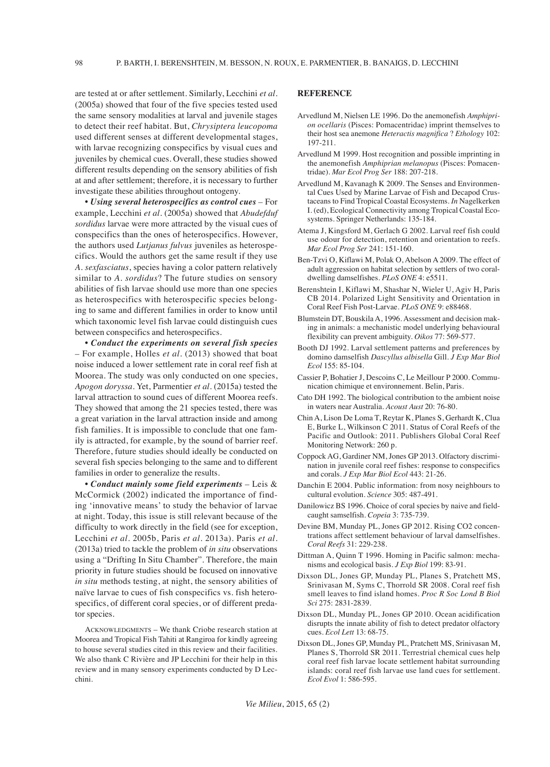are tested at or after settlement. Similarly, Lecchini *et al*. (2005a) showed that four of the five species tested used the same sensory modalities at larval and juvenile stages to detect their reef habitat. But, *Chrysiptera leucopoma* used different senses at different developmental stages, with larvae recognizing conspecifics by visual cues and juveniles by chemical cues. Overall, these studies showed different results depending on the sensory abilities of fish at and after settlement; therefore, it is necessary to further investigate these abilities throughout ontogeny.

*• Using several heterospecifics as control cues –* For example, Lecchini *et al*. (2005a) showed that *Abudefduf sordidus* larvae were more attracted by the visual cues of conspecifics than the ones of heterospecifics. However, the authors used *Lutjanus fulvus* juveniles as heterospecifics. Would the authors get the same result if they use *A. sexfasciatus*, species having a color pattern relatively similar to *A. sordidus*? The future studies on sensory abilities of fish larvae should use more than one species as heterospecifics with heterospecific species belonging to same and different families in order to know until which taxonomic level fish larvae could distinguish cues between conspecifics and heterospecifics.

*• Conduct the experiments on several fish species –* For example, Holles *et al.* (2013) showed that boat noise induced a lower settlement rate in coral reef fish at Moorea. The study was only conducted on one species, *Apogon doryssa*. Yet, Parmentier *et al.* (2015a) tested the larval attraction to sound cues of different Moorea reefs. They showed that among the 21 species tested, there was a great variation in the larval attraction inside and among fish families. It is impossible to conclude that one family is attracted, for example, by the sound of barrier reef. Therefore, future studies should ideally be conducted on several fish species belonging to the same and to different families in order to generalize the results.

*• Conduct mainly some field experiments –* Leis & McCormick (2002) indicated the importance of finding 'innovative means' to study the behavior of larvae at night. Today, this issue is still relevant because of the difficulty to work directly in the field (see for exception, Lecchini *et al*. 2005b, Paris *et al.* 2013a). Paris *et al*. (2013a) tried to tackle the problem of *in situ* observations using a "Drifting In Situ Chamber". Therefore, the main priority in future studies should be focused on innovative *in situ* methods testing, at night, the sensory abilities of naïve larvae to cues of fish conspecifics vs. fish heterospecifics, of different coral species, or of different predator species.

ACKNOWLEDGMENTS – We thank Criobe research station at Moorea and Tropical Fish Tahiti at Rangiroa for kindly agreeing to house several studies cited in this review and their facilities. We also thank C Rivière and JP Lecchini for their help in this review and in many sensory experiments conducted by D Lecchini.

## **REFERENCE**

- Arvedlund M, Nielsen LE 1996. Do the anemonefish *Amphiprion ocellaris* (Pisces: Pomacentridae) imprint themselves to their host sea anemone *Heteractis magnifica* ? *Ethology* 102: 197-211.
- Arvedlund M 1999. Host recognition and possible imprinting in the anemonefish *Amphiprian melanopus* (Pisces: Pomacentridae). *Mar Ecol Prog Ser* 188: 207-218.
- Arvedlund M, Kavanagh K 2009. The Senses and Environmental Cues Used by Marine Larvae of Fish and Decapod Crustaceans to Find Tropical Coastal Ecosystems. *In* Nagelkerken I. (ed), Ecological Connectivity among Tropical Coastal Ecosystems. Springer Netherlands: 135-184.
- Atema J, Kingsford M, Gerlach G 2002. Larval reef fish could use odour for detection, retention and orientation to reefs. *Mar Ecol Prog Ser* 241: 151-160.
- Ben-Tzvi O, Kiflawi M, Polak O, Abelson A 2009. The effect of adult aggression on habitat selection by settlers of two coraldwelling damselfishes. *PLoS ONE* 4: e5511.
- Berenshtein I, Kiflawi M, Shashar N, Wieler U, Agiv H, Paris CB 2014. Polarized Light Sensitivity and Orientation in Coral Reef Fish Post-Larvae. *PLoS ONE* 9: e88468.
- Blumstein DT, Bouskila A, 1996. Assessment and decision making in animals: a mechanistic model underlying behavioural flexibility can prevent ambiguity. *Oikos* 77: 569-577.
- Booth DJ 1992. Larval settlement patterns and preferences by domino damselfish *Dascyllus albisella* Gill. *J Exp Mar Biol Ecol* 155: 85-104.
- Cassier P, Bohatier J, Descoins C, Le Meillour P 2000. Communication chimique et environnement. Belin, Paris.
- Cato DH 1992. The biological contribution to the ambient noise in waters near Australia. *Acoust Aust* 20: 76-80.
- Chin A, Lison De Loma T, Reytar K, Planes S, Gerhardt K, Clua E, Burke L, Wilkinson C 2011. Status of Coral Reefs of the Pacific and Outlook: 2011. Publishers Global Coral Reef Monitoring Network: 260 p.
- Coppock AG, Gardiner NM, Jones GP 2013. Olfactory discrimination in juvenile coral reef fishes: response to conspecifics and corals. *J Exp Mar Biol Ecol* 443: 21-26.
- Danchin E 2004. Public information: from nosy neighbours to cultural evolution. *Science* 305: 487-491.
- Danilowicz BS 1996. Choice of coral species by naive and fieldcaught samselfish. *Copeia* 3: 735-739.
- Devine BM, Munday PL, Jones GP 2012. Rising CO2 concentrations affect settlement behaviour of larval damselfishes. *Coral Reefs* 31: 229-238.
- Dittman A, Quinn T 1996. Homing in Pacific salmon: mechanisms and ecological basis. *J Exp Biol* 199: 83-91.
- Dixson DL, Jones GP, Munday PL, Planes S, Pratchett MS, Srinivasan M, Syms C, Thorrold SR 2008. Coral reef fish smell leaves to find island homes. *Proc R Soc Lond B Biol Sci* 275: 2831-2839.
- Dixson DL, Munday PL, Jones GP 2010. Ocean acidification disrupts the innate ability of fish to detect predator olfactory cues. *Ecol Lett* 13: 68-75.
- Dixson DL, Jones GP, Munday PL, Pratchett MS, Srinivasan M, Planes S, Thorrold SR 2011. Terrestrial chemical cues help coral reef fish larvae locate settlement habitat surrounding islands: coral reef fish larvae use land cues for settlement. *Ecol Evol* 1: 586-595.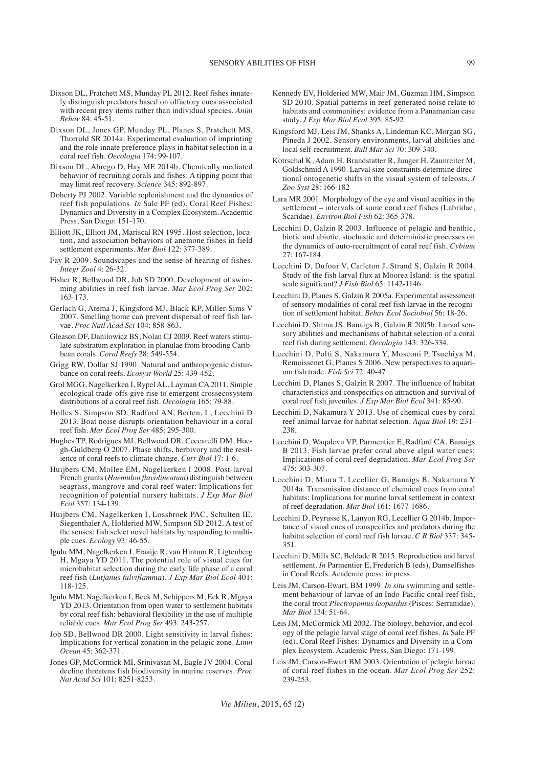- Dixson DL, Pratchett MS, Munday PL 2012. Reef fishes innately distinguish predators based on olfactory cues associated with recent prey items rather than individual species. *Anim Behav* 84: 45-51.
- Dixson DL, Jones GP, Munday PL, Planes S, Pratchett MS, Thorrold SR 2014a. Experimental evaluation of imprinting and the role innate preference plays in habitat selection in a coral reef fish. *Oecologia* 174: 99-107.
- Dixson DL, Abrego D, Hay ME 2014b. Chemically mediated behavior of recruiting corals and fishes: A tipping point that may limit reef recovery. *Science* 345: 892-897.
- Doherty PJ 2002. Variable replenishment and the dynamics of reef fish populations. *In* Sale PF (ed), Coral Reef Fishes: Dynamics and Diversity in a Complex Ecosystem. Academic Press, San Diego: 151-170.
- Elliott JK, Elliott JM, Mariscal RN 1995. Host selection, location, and association behaviors of anemone fishes in field settlement experiments. *Mar Biol* 122: 377-389.
- Fay R 2009. Soundscapes and the sense of hearing of fishes. *Integr Zool* 4: 26-32.
- Fisher R, Bellwood DR, Job SD 2000. Development of swimming abilities in reef fish larvae. *Mar Ecol Prog Ser* 202: 163-173.
- Gerlach G, Atema J, Kingsford MJ, Black KP, Miller-Sims V 2007. Smelling home can prevent dispersal of reef fish larvae. *Proc Natl Acad Sci* 104: 858-863.
- Gleason DF, Danilowicz BS, Nolan CJ 2009. Reef waters stimulate substratum exploration in planulae from brooding Caribbean corals. *Coral Reefs* 28: 549-554.
- Grigg RW, Dollar SJ 1990. Natural and anthropogenic disturbance on coral reefs. *Ecosyst World* 25: 439-452.
- Grol MGG, Nagelkerken I, Rypel AL, Layman CA 2011. Simple ecological trade-offs give rise to emergent crossecosystem distributions of a coral reef fish. *Oecologia* 165: 79-88.
- Holles S, Simpson SD, Radford AN, Berten, L, Lecchini D 2013. Boat noise disrupts orientation behaviour in a coral reef fish. *Mar Ecol Prog Ser* 485: 295-300.
- Hughes TP, Rodrigues MJ, Bellwood DR, Ceccarelli DM, Hoegh-Guldberg  $\overline{O}$  2007. Phase shifts, herbivory and the resilience of coral reefs to climate change. *Curr Biol* 17: 1-6.
- Huijbers CM, Mollee EM, Nagelkerken I 2008. Post-larval French grunts (*Haemulon flavolineatum*) distinguish between seagrass, mangrove and coral reef water: Implications for recognition of potential nursery habitats. *J Exp Mar Biol Ecol* 357: 134-139.
- Huijbers CM, Nagelkerken I, Lossbroek PAC, Schulten IE, Siegenthaler A, Holderied MW, Simpson SD 2012. A test of the senses: fish select novel habitats by responding to multiple cues. *Ecology* 93: 46-55.
- Igulu MM, Nagelkerken I, Fraaije R, van Hintum R, Ligtenberg H, Mgaya YD 2011. The potential role of visual cues for microhabitat selection during the early life phase of a coral reef fish (*Lutjanus fulviflamma*). *J Exp Mar Biol Ecol* 401: 118-125.
- Igulu MM, Nagelkerken I, Beek M, Schippers M, Eck R, Mgaya YD 2013. Orientation from open water to settlement habitats by coral reef fish: behavioral flexibility in the use of multiple reliable cues. *Mar Ecol Prog Ser* 493: 243-257.
- Job SD, Bellwood DR 2000. Light sensitivity in larval fishes: Implications for vertical zonation in the pelagic zone. *Limn Ocean* 45: 362-371.
- Jones GP, McCormick MI, Srinivasan M, Eagle JV 2004. Coral decline threatens fish biodiversity in marine reserves. *Proc Nat Acad Sci* 101: 8251-8253.
- Kennedy EV, Holderied MW, Mair JM, Guzman HM, Simpson SD 2010. Spatial patterns in reef-generated noise relate to habitats and communities: evidence from a Panamanian case study. *J Exp Mar Biol Ecol* 395: 85-92.
- Kingsford MJ, Leis JM, Shanks A, Lindeman KC, Morgan SG, Pineda J 2002. Sensory environments, larval abilities and local self-recruitment. *Bull Mar Sci* 70: 309-340.
- Kotrschal K, Adam H, Brandstatter R, Junger H, Zaunreiter M, Goldschmid A 1990. Larval size constraints determine directional ontogenetic shifts in the visual system of teleosts. *J Zoo Syst* 28: 166-182
- Lara MR 2001. Morphology of the eye and visual acuities in the settlement – intervals of some coral reef fishes (Labridae, Scaridae). *Environ Biol Fish* 62: 365-378.
- Lecchini D, Galzin R 2003. Influence of pelagic and benthic, biotic and abiotic, stochastic and deterministic processes on the dynamics of auto-recruitment of coral reef fish. *Cybium* 27: 167-184.
- Lecchini D, Dufour V, Carleton J, Strand S, Galzin R 2004. Study of the fish larval flux at Moorea Island: is the spatial scale significant? *J Fish Biol* 65: 1142-1146.
- Lecchini D, Planes S, Galzin R 2005a. Experimental assessment of sensory modalities of coral reef fish larvae in the recognition of settlement habitat. *Behav Ecol Sociobiol* 56: 18-26.
- Lecchini D, Shima JS, Banaigs B, Galzin R 2005b. Larval sensory abilities and mechanisms of habitat selection of a coral reef fish during settlement. *Oecologia* 143: 326-334.
- Lecchini D, Polti S, Nakamura Y, Mosconi P, Tsuchiya M, Remoissenet G, Planes S 2006. New perspectives to aquarium fish trade. *Fish Sci* 72: 40-47
- Lecchini D, Planes S, Galzin R 2007. The influence of habitat characteristics and conspecifics on attraction and survival of coral reef fish juveniles. *J Exp Mar Biol Ecol* 341: 85-90.
- Lecchini D, Nakamura Y 2013. Use of chemical cues by coral reef animal larvae for habitat selection. *Aqua Biol* 19: 231- 238.
- Lecchini D, Waqalevu VP, Parmentier E, Radford CA, Banaigs B 2013. Fish larvae prefer coral above algal water cues: Implications of coral reef degradation. *Mar Ecol Prog Ser* 475: 303-307.
- Lecchini D, Miura T, Lecellier G, Banaigs B, Nakamura Y 2014a. Transmission distance of chemical cues from coral habitats: Implications for marine larval settlement in context of reef degradation. *Mar Biol* 161: 1677-1686.
- Lecchini D, Peyrusse K, Lanyon RG, Lecellier G 2014b. Importance of visual cues of conspecifics and predators during the habitat selection of coral reef fish larvae. *C R Biol* 337: 345- 351.
- Lecchini D, Mills SC, Beldade R 2015. Reproduction and larval settlement. *In* Parmentier E, Frederich B (eds), Damselfishes in Coral Reefs. Academic press: in press.
- Leis JM, Carson-Ewart, BM 1999. *In situ* swimming and settlement behaviour of larvae of an Indo-Pacific coral-reef fish, the coral trout *Plectropomus leopardus* (Pisces: Serranidae). *Mar Biol* 134: 51-64.
- Leis JM, McCormick MI 2002. The biology, behavior, and ecology of the pelagic larval stage of coral reef fishes. *In* Sale PF (ed), Coral Reef Fishes: Dynamics and Diversity in a Complex Ecosystem. Academic Press, San Diego: 171-199.
- Leis JM, Carson-Ewart BM 2003. Orientation of pelagic larvae of coral-reef fishes in the ocean. *Mar Ecol Prog Ser* 252: 239-253.

*Vie Milieu*, 2015, 65 (2)